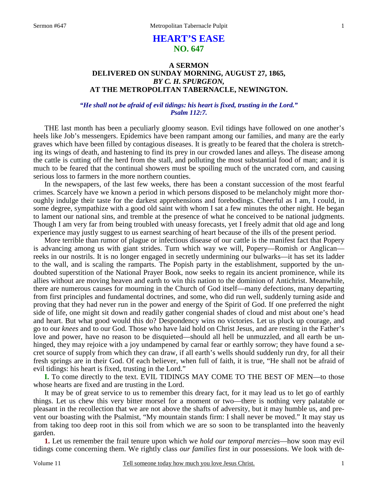# **HEART'S EASE NO. 647**

# **A SERMON DELIVERED ON SUNDAY MORNING, AUGUST 27, 1865,**  *BY C. H. SPURGEON,*  **AT THE METROPOLITAN TABERNACLE, NEWINGTON.**

### *"He shall not be afraid of evil tidings: his heart is fixed, trusting in the Lord." Psalm 112:7.*

THE last month has been a peculiarly gloomy season. Evil tidings have followed on one another's heels like Job's messengers. Epidemics have been rampant among our families, and many are the early graves which have been filled by contagious diseases. It is greatly to be feared that the cholera is stretching its wings of death, and hastening to find its prey in our crowded lanes and alleys. The disease among the cattle is cutting off the herd from the stall, and polluting the most substantial food of man; and it is much to be feared that the continual showers must be spoiling much of the uncrated corn, and causing serious loss to farmers in the more northern counties.

 In the newspapers, of the last few weeks, there has been a constant succession of the most fearful crimes. Scarcely have we known a period in which persons disposed to be melancholy might more thoroughly indulge their taste for the darkest apprehensions and forebodings. Cheerful as I am, I could, in some degree, sympathize with a good old saint with whom I sat a few minutes the other night. He began to lament our national sins, and tremble at the presence of what he conceived to be national judgments. Though I am very far from being troubled with uneasy forecasts, yet I freely admit that old age and long experience may justly suggest to us earnest searching of heart because of the ills of the present period.

 More terrible than rumor of plague or infectious disease of our cattle is the manifest fact that Popery is advancing among us with giant strides. Turn which way we will, Popery—Romish or Anglican reeks in our nostrils. It is no longer engaged in secretly undermining our bulwarks—it has set its ladder to the wall, and is scaling the ramparts. The Popish party in the establishment, supported by the undoubted superstition of the National Prayer Book, now seeks to regain its ancient prominence, while its allies without are moving heaven and earth to win this nation to the dominion of Antichrist. Meanwhile, there are numerous causes for mourning in the Church of God itself—many defections, many departing from first principles and fundamental doctrines, and some, who did run well, suddenly turning aside and proving that they had never run in the power and energy of the Spirit of God. If one preferred the night side of life, one might sit down and readily gather congenial shades of cloud and mist about one's head and heart. But what good would this do? Despondency wins no victories. Let us pluck up courage, and go to our *knees* and to our God. Those who have laid hold on Christ Jesus, and are resting in the Father's love and power, have no reason to be disquieted—should all hell be unmuzzled, and all earth be unhinged, they may rejoice with a joy undampened by carnal fear or earthly sorrow; they have found a secret source of supply from which they can draw, if all earth's wells should suddenly run dry, for all their fresh springs are in their God. Of each believer, when full of faith, it is true, "He shall not be afraid of evil tidings: his heart is fixed, trusting in the Lord."

**I.** To come directly to the text. EVIL TIDINGS MAY COME TO THE BEST OF MEN—to those whose hearts are fixed and are trusting in the Lord.

 It may be of great service to us to remember this dreary fact, for it may lead us to let go of earthly things. Let us chew this very bitter morsel for a moment or two—there is nothing very palatable or pleasant in the recollection that we are not above the shafts of adversity, but it may humble us, and prevent our boasting with the Psalmist, "My mountain stands firm: I shall never be moved." It may stay us from taking too deep root in this soil from which we are so soon to be transplanted into the heavenly garden.

**1.** Let us remember the frail tenure upon which we *hold our temporal mercies*—how soon may evil tidings come concerning them. We rightly class *our families* first in our possessions. We look with de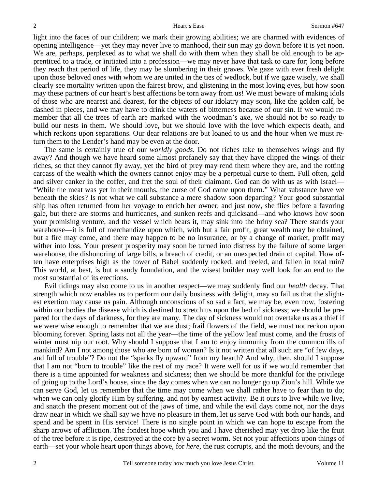light into the faces of our children; we mark their growing abilities; we are charmed with evidences of opening intelligence—yet they may never live to manhood, their sun may go down before it is yet noon. We are, perhaps, perplexed as to what we shall do with them when they shall be old enough to be apprenticed to a trade, or initiated into a profession—we may never have that task to care for; long before they reach that period of life, they may be slumbering in their graves. We gaze with ever fresh delight upon those beloved ones with whom we are united in the ties of wedlock, but if we gaze wisely, we shall clearly see mortality written upon the fairest brow, and glistening in the most loving eyes, but how soon may these partners of our heart's best affections be torn away from us! We must beware of making idols of those who are nearest and dearest, for the objects of our idolatry may soon, like the golden calf, be dashed in pieces, and we may have to drink the waters of bitterness because of our sin. If we would remember that all the trees of earth are marked with the woodman's axe, we should not be so ready to build our nests in them. We should love, but we should love with the love which expects death, and which reckons upon separations. Our dear relations are but loaned to us and the hour when we must return them to the Lender's hand may be even at the door.

 The same is certainly true of our *worldly goods.* Do not riches take to themselves wings and fly away? And though we have heard some almost profanely say that they have clipped the wings of their riches, so that they cannot fly away, yet the bird of prey may rend them where they are, and the rotting carcass of the wealth which the owners cannot enjoy may be a perpetual curse to them. Full often, gold and silver canker in the coffer, and fret the soul of their claimant. God can do with us as with Israel— "While the meat was yet in their mouths, the curse of God came upon them." What substance have we beneath the skies? Is not what we call substance a mere shadow soon departing? Your good substantial ship has often returned from her voyage to enrich her owner, and just now, she flies before a favoring gale, but there are storms and hurricanes, and sunken reefs and quicksand—and who knows how soon your promising venture, and the vessel which bears it, may sink into the briny sea? There stands your warehouse—it is full of merchandize upon which, with but a fair profit, great wealth may be obtained, but a fire may come, and there may happen to be no insurance, or by a change of market, profit may wither into loss. Your present prosperity may soon be turned into distress by the failure of some larger warehouse, the dishonoring of large bills, a breach of credit, or an unexpected drain of capital. How often have enterprises high as the tower of Babel suddenly rocked, and reeled, and fallen in total ruin? This world, at best, is but a sandy foundation, and the wisest builder may well look for an end to the most substantial of its erections.

 Evil tidings may also come to us in another respect—we may suddenly find our *health* decay. That strength which now enables us to perform our daily business with delight, may so fail us that the slightest exertion may cause us pain. Although unconscious of so sad a fact, we may be, even now, fostering within our bodies the disease which is destined to stretch us upon the bed of sickness; we should be prepared for the days of darkness, for they are many. The day of sickness would not overtake us as a thief if we were wise enough to remember that we are dust; frail flowers of the field, we must not reckon upon blooming forever. Spring lasts not all the year—the time of the yellow leaf must come, and the frosts of winter must nip our root. Why should I suppose that I am to enjoy immunity from the common ills of mankind? Am I not among those who are born of woman? Is it not written that all such are "of few days, and full of trouble"? Do not the "sparks fly upward" from my hearth? And why, then, should I suppose that I am not "born to trouble" like the rest of my race? It were well for us if we would remember that there is a time appointed for weakness and sickness; then we should be more thankful for the privilege of going up to the Lord's house, since the day comes when we can no longer go up Zion's hill. While we can serve God, let us remember that the time may come when we shall rather have to fear than to do; when we can only glorify Him by suffering, and not by earnest activity. Be it ours to live while we live, and snatch the present moment out of the jaws of time, and while the evil days come not, nor the days draw near in which we shall say we have no pleasure in them, let us serve God with both our hands, and spend and be spent in His service! There is no single point in which we can hope to escape from the sharp arrows of affliction. The fondest hope which you and I have cherished may yet drop like the fruit of the tree before it is ripe, destroyed at the core by a secret worm. Set not your affections upon things of earth—set your whole heart upon things above, for *here,* the rust corrupts, and the moth devours, and the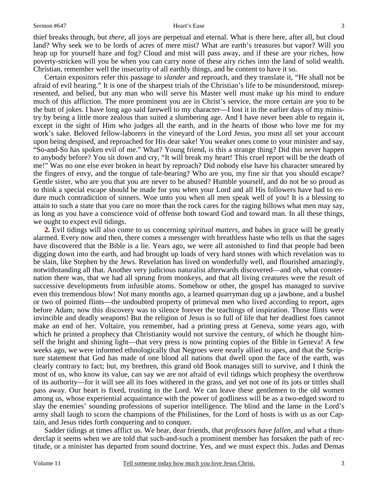3

thief breaks through, but *there,* all joys are perpetual and eternal. What is there here, after all, but cloud land? Why seek we to be lords of acres of mere mist? What are earth's treasures but vapor? Will you heap up for yourself haze and fog? Cloud and mist will pass away, and if these are your riches, how poverty-stricken will you be when you can carry none of these airy riches into the land of solid wealth. Christian, remember well the insecurity of all earthly things, and be content to have it so.

 Certain expositors refer this passage to *slander* and reproach, and they translate it, "He shall not be afraid of evil hearing." It is one of the sharpest trials of the Christian's life to be misunderstood, misrepresented, and belied, but any man who will serve his Master well must make up his mind to endure much of this affliction. The more prominent you are in Christ's service, the more certain are you to be the butt of jokes. I have long ago said farewell to my character—I lost it in the earlier days of my ministry by being a little more zealous than suited a slumbering age. And I have never been able to regain it, except in the sight of Him who judges all the earth, and in the hearts of those who love me for my work's sake. Beloved fellow-laborers in the vineyard of the Lord Jesus, you must all set your account upon being despised, and reproached for His dear sake! You weaker ones come to your minister and say, "So-and-So has spoken evil of me." What? Young friend, is this a strange thing? Did this never happen to anybody before? You sit down and cry, "It will break my heart! This cruel report will be the death of me!" Was no one else ever broken in heart by reproach? Did nobody else have his character smeared by the fingers of envy, and the tongue of tale-bearing? Who are you, my fine sir that you should escape? Gentle sister, who are you that you are never to be abused? Humble yourself, and do not be so proud as to think a special escape should be made for you when your Lord and all His followers have had to endure much contradiction of sinners. Woe unto you when all men speak well of you! It is a blessing to attain to such a state that you care no more than the rock cares for the raging billows what men may say, as long as you have a conscience void of offense both toward God and toward man. In all these things, we ought to expect evil tidings.

**2.** Evil tidings will also come to us concerning *spiritual matters,* and babes in grace will be greatly alarmed. Every now and then, there comes a messenger with breathless haste who tells us that the sages have discovered that the Bible is a lie. Years ago, we were all astonished to find that people had been digging down into the earth, and had brought up loads of very hard stones with which revelation was to be slain, like Stephen by the Jews. Revelation has lived on wonderfully well, and flourished amazingly, notwithstanding all that. Another very judicious naturalist afterwards discovered—and oh, what consternation there was, that we had all sprung from monkeys, and that all living creatures were the result of successive developments from infusible atoms. Somehow or other, the gospel has managed to survive even this tremendous blow! Not many months ago, a learned quarryman dug up a jawbone, and a bushel or two of pointed flints—the undoubted property of primeval men who lived according to report, ages before Adam; now this discovery was to silence forever the teachings of inspiration. Those flints were invincible and deadly weapons! But the religion of Jesus is so full of life that her deadliest foes cannot make an end of her. Voltaire, you remember, had a printing press at Geneva, some years ago, with which he printed a prophecy that Christianity would not survive the century, of which he thought himself the bright and shining light—that very press is now printing copies of the Bible in Geneva! A few weeks ago, we were informed ethnologically that Negroes were nearly allied to apes, and that the Scripture statement that God has made of one blood all nations that dwell upon the face of the earth, was clearly contrary to fact; but, my brethren, this grand old Book manages still to survive, and I think the most of us, who know its value, can say we are not afraid of evil tidings which prophesy the overthrow of its authority—for it will see all its foes withered in the grass, and yet not one of its jots or tittles shall pass away. Our heart is fixed, trusting in the Lord. We can leave these gentlemen to the old women among us, whose experiential acquaintance with the power of godliness will be as a two-edged sword to slay the enemies' sounding professions of superior intelligence. The blind and the lame in the Lord's army shall laugh to scorn the champions of the Philistines, for the Lord of hosts is with us as our Captain, and Jesus rides forth conquering and to conquer.

 Sadder tidings at times afflict us. We hear, dear friends, that *professors have fallen,* and what a thunderclap it seems when we are told that such-and-such a prominent member has forsaken the path of rectitude, or a minister has departed from sound doctrine. Yes, and we must expect this. Judas and Demas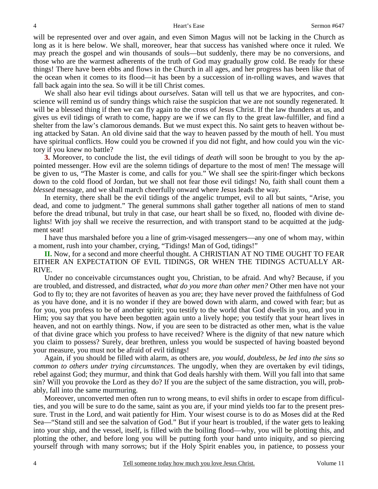will be represented over and over again, and even Simon Magus will not be lacking in the Church as long as it is here below. We shall, moreover, hear that success has vanished where once it ruled. We may preach the gospel and win thousands of souls—but suddenly, there may be no conversions, and those who are the warmest adherents of the truth of God may gradually grow cold. Be ready for these things! There have been ebbs and flows in the Church in all ages, and her progress has been like that of the ocean when it comes to its flood—it has been by a succession of in-rolling waves, and waves that fall back again into the sea. So will it be till Christ comes.

 We shall also hear evil tidings about *ourselves*. Satan will tell us that we are hypocrites, and conscience will remind us of sundry things which raise the suspicion that we are not soundly regenerated. It will be a blessed thing if then we can fly again to the cross of Jesus Christ. If the law thunders at us, and gives us evil tidings of wrath to come, happy are we if we can fly to the great law-fulfiller, and find a shelter from the law's clamorous demands. But we must expect this. No saint gets to heaven without being attacked by Satan. An old divine said that the way to heaven passed by the mouth of hell. You must have spiritual conflicts. How could you be crowned if you did not fight, and how could you win the victory if you knew no battle?

**3.** Moreover, to conclude the list, the evil tidings of *death* will soon be brought to you by the appointed messenger. How evil are the solemn tidings of departure to the most of men! The message will be given to us, "The Master is come, and calls for you." We shall see the spirit-finger which beckons down to the cold flood of Jordan, but we shall not fear those evil tidings! No, faith shall count them a *blessed* message, and we shall march cheerfully onward where Jesus leads the way.

 In eternity, there shall be the evil tidings of the angelic trumpet, evil to all but saints, "Arise, you dead, and come to judgment." The general summons shall gather together all nations of men to stand before the dread tribunal, but truly in that case, our heart shall be so fixed, no, flooded with divine delights! With joy shall we receive the resurrection, and with transport stand to be acquitted at the judgment seat!

 I have thus marshaled before you a line of grim-visaged messengers—any one of whom may, within a moment, rush into your chamber, crying, "Tidings! Man of God, tidings!"

**II.** Now, for a second and more cheerful thought. A CHRISTIAN AT NO TIME OUGHT TO FEAR EITHER AN EXPECTATION OF EVIL TIDINGS, OR WHEN THE TIDINGS ACTUALLY AR-RIVE.

 Under no conceivable circumstances ought you, Christian, to be afraid. And why? Because, if you are troubled, and distressed, and distracted, *what do you more than other men?* Other men have not your God to fly to; they are not favorites of heaven as you are; they have never proved the faithfulness of God as you have done, and it is no wonder if they are bowed down with alarm, and cowed with fear; but as for you, you profess to be of another spirit; you testify to the world that God dwells in you, and you in Him; you say that you have been begotten again unto a lively hope; you testify that your heart lives in heaven, and not on earthly things. Now, if you are seen to be distracted as other men, what is the value of that divine grace which you profess to have received? Where is the dignity of that new nature which you claim to possess? Surely, dear brethren, unless you would be suspected of having boasted beyond your measure, you must not be afraid of evil tidings!

 Again, if you should be filled with alarm, as others are, *you would, doubtless, be led into the sins so common to others under trying circumstances.* The ungodly, when they are overtaken by evil tidings, rebel against God; they murmur, and think that God deals harshly with them. Will you fall into that same sin? Will you provoke the Lord as they do? If you are the subject of the same distraction, you will, probably, fall into the same murmuring.

 Moreover, unconverted men often run to wrong means, to evil shifts in order to escape from difficulties, and you will be sure to do the same, saint as you are, if your mind yields too far to the present pressure. Trust in the Lord, and wait patiently for Him. Your wisest course is to do as Moses did at the Red Sea—"Stand still and see the salvation of God." But if your heart is troubled, if the water gets to leaking into your ship, and the vessel, itself, is filled with the boiling flood—why, you will be plotting this, and plotting the other, and before long you will be putting forth your hand unto iniquity, and so piercing yourself through with many sorrows; but if the Holy Spirit enables you, in patience, to possess your

4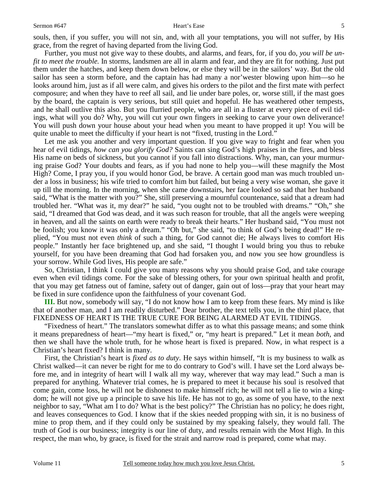souls, then, if you suffer, you will not sin, and, with all your temptations, you will not suffer, by His grace, from the regret of having departed from the living God.

 Further, you must not give way to these doubts, and alarms, and fears, for, if you do, *you will be unfit to meet the trouble.* In storms, landsmen are all in alarm and fear, and they are fit for nothing. Just put them under the hatches, and keep them down below, or else they will be in the sailors' way. But the old sailor has seen a storm before, and the captain has had many a nor'wester blowing upon him—so he looks around him, just as if all were calm, and gives his orders to the pilot and the first mate with perfect composure; and when they have to reef all sail, and lie under bare poles, or, worse still, if the mast goes by the board, the captain is very serious, but still quiet and hopeful. He has weathered other tempests, and he shall outlive this also. But you flurried people, who are all in a fluster at every piece of evil tidings, what will you do? Why, you will cut your own fingers in seeking to carve your own deliverance! You will push down your house about your head when you meant to have propped it up! You will be quite unable to meet the difficulty if your heart is not "fixed, trusting in the Lord."

 Let me ask you another and very important question. If you give way to fright and fear when you hear of evil tidings, *how can you glorify God?* Saints can sing God's high praises in the fires, and bless His name on beds of sickness, but you cannot if you fall into distractions. Why, man, can your murmuring praise God? Your doubts and fears, as if you had none to help you—will these magnify the Most High? Come, I pray you, if you would honor God, be brave. A certain good man was much troubled under a loss in business; his wife tried to comfort him but failed, but being a very wise woman, she gave it up till the morning. In the morning, when she came downstairs, her face looked so sad that her husband said, "What is the matter with you?" She, still preserving a mournful countenance, said that a dream had troubled her. "What was it, my dear?" he said, "you ought not to be troubled with dreams." "Oh," she said, "I dreamed that God was dead, and it was such reason for trouble, that all the angels were weeping in heaven, and all the saints on earth were ready to break their hearts." Her husband said, "You must not be foolish; you know it was only a dream." "Oh but," she said, "to think of God's being dead!" He replied, "You must not even *think* of such a thing, for God cannot die; He always lives to comfort His people." Instantly her face brightened up, and she said, "I thought I would bring you thus to rebuke yourself, for you have been dreaming that God had forsaken you, and now you see how groundless is your sorrow. While God lives, His people are safe."

 So, Christian, I think I could give you many reasons why you should praise God, and take courage even when evil tidings come. For the sake of blessing others, for your own spiritual health and profit, that you may get fatness out of famine, safety out of danger, gain out of loss—pray that your heart may be fixed in sure confidence upon the faithfulness of your covenant God.

**III.** But now, somebody will say, "I do not know how I am to keep from these fears. My mind is like that of another man, and I am readily disturbed." Dear brother, the text tells you, in the third place, that FIXEDNESS OF HEART IS THE TRUE CURE FOR BEING ALARMED AT EVIL TIDINGS.

 "Fixedness of heart." The translators somewhat differ as to what this passage means; and some think it means preparedness of heart—"my heart is fixed," or, "my heart is prepared." Let it mean *both,* and then we shall have the whole truth, for he whose heart is fixed is prepared. Now, in what respect is a Christian's heart fixed? I think in many.

 First, the Christian's heart is *fixed as to duty*. He says within himself, "It is my business to walk as Christ walked—it can never be right for me to do contrary to God's will. I have set the Lord always before me, and in integrity of heart will I walk all my way, wherever that way may lead." Such a man is prepared for anything. Whatever trial comes, he is prepared to meet it because his soul is resolved that come gain, come loss, he will not be dishonest to make himself rich; he will not tell a lie to win a kingdom; he will not give up a principle to save his life. He has not to go, as some of you have, to the next neighbor to say, "What am I to do? What is the best policy?" The Christian has no policy; he does right, and leaves consequences to God. I know that if the skies needed propping with sin, it is no business of mine to prop them, and if they could only be sustained by my speaking falsely, they would fall. The truth of God is our business; integrity is our line of duty, and results remain with the Most High. In this respect, the man who, by grace, is fixed for the strait and narrow road is prepared, come what may.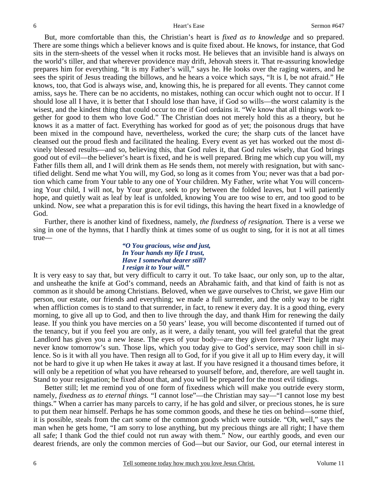But, more comfortable than this, the Christian's heart is *fixed as to knowledge* and so prepared. There are some things which a believer knows and is quite fixed about. He knows, for instance, that God sits in the stern-sheets of the vessel when it rocks most. He believes that an invisible hand is always on the world's tiller, and that wherever providence may drift, Jehovah steers it. That re-assuring knowledge prepares him for everything. "It is my Father's will," says he. He looks over the raging waters, and he sees the spirit of Jesus treading the billows, and he hears a voice which says, "It is I, be not afraid." He knows, too, that God is always wise, and, knowing this, he is prepared for all events. They cannot come amiss, says he. There can be no accidents, no mistakes, nothing can occur which ought not to occur. If I should lose all I have, it is better that I should lose than have, if God so wills—the worst calamity is the wisest, and the kindest thing that could occur to me if God ordains it. "We know that all things work together for good to them who love God." The Christian does not merely hold this as a theory, but he knows it as a matter of fact. Everything has worked for good as of yet; the poisonous drugs that have been mixed in the compound have, nevertheless, worked the cure; the sharp cuts of the lancet have cleansed out the proud flesh and facilitated the healing. Every event as yet has worked out the most divinely blessed results—and so, believing this, that God rules it, that God rules wisely, that God brings good out of evil—the believer's heart is fixed, and he is well prepared. Bring me which cup you will, my Father fills them all, and I will drink them as He sends them, not merely with resignation, but with sanctified delight. Send me what You will, my God, so long as it comes from You; never was that a bad portion which came from Your table to any one of Your children. My Father, write what You will concerning Your child, I will not, by Your grace, seek to pry between the folded leaves, but I will patiently hope, and quietly wait as leaf by leaf is unfolded, knowing You are too wise to err, and too good to be unkind. Now, see what a preparation this is for evil tidings, this having the heart fixed in a knowledge of God.

 Further, there is another kind of fixedness, namely, *the fixedness of resignation.* There is a verse we sing in one of the hymns, that I hardly think at times some of us ought to sing, for it is not at all times true—

### *"O You gracious, wise and just, In Your hands my life I trust, Have I somewhat dearer still? I resign it to Your will."*

It is very easy to say that, but very difficult to carry it out. To take Isaac, our only son, up to the altar, and unsheathe the knife at God's command, needs an Abrahamic faith, and that kind of faith is not as common as it should be among Christians. Beloved, when we gave ourselves to Christ, we gave Him our person, our estate, our friends and everything; we made a full surrender, and the only way to be right when affliction comes is to stand to that surrender, in fact, to renew it every day. It is a good thing, every morning, to give all up to God, and then to live through the day, and thank Him for renewing the daily lease. If you think you have mercies on a 50 years' lease, you will become discontented if turned out of the tenancy, but if you feel you are only, as it were, a daily tenant, you will feel grateful that the great Landlord has given you a new lease. The eyes of your body—are they given forever? Their light may never know tomorrow's sun. Those lips, which you today give to God's service, may soon chill in silence. So is it with all you have. Then resign all to God, for if you give it all up to Him every day, it will not be hard to give it up when He takes it away at last. If you have resigned it a thousand times before, it will only be a repetition of what you have rehearsed to yourself before, and, therefore, are well taught in. Stand to your resignation; be fixed about that, and you will be prepared for the most evil tidings.

 Better still; let me remind you of one form of fixedness which will make you outride every storm, namely, *fixedness as to eternal things.* "I cannot lose"—the Christian may say—"I cannot lose my best things." When a carrier has many parcels to carry, if he has gold and silver, or precious stones, he is sure to put them near himself. Perhaps he has some common goods, and these he ties on behind—some thief, it is possible, steals from the cart some of the common goods which were outside. "Oh, well," says the man when he gets home, "I am sorry to lose anything, but my precious things are all right; I have them all safe; I thank God the thief could not run away with them." Now, our earthly goods, and even our dearest friends, are only the common mercies of God—but our Savior, our God, our eternal interest in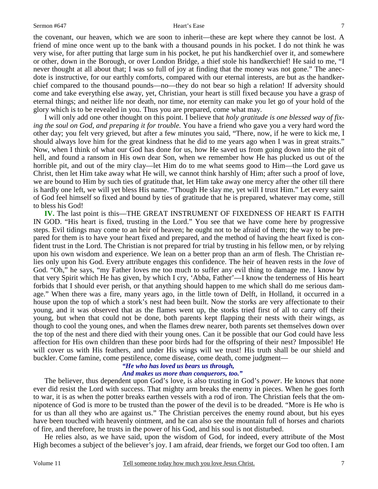the covenant, our heaven, which we are soon to inherit—these are kept where they cannot be lost. A friend of mine once went up to the bank with a thousand pounds in his pocket. I do not think he was very wise, for after putting that large sum in his pocket, he put his handkerchief over it, and somewhere or other, down in the Borough, or over London Bridge, a thief stole his handkerchief! He said to me, "I never thought at all about that; I was so full of joy at finding that the money was not gone." The anecdote is instructive, for our earthly comforts, compared with our eternal interests, are but as the handkerchief compared to the thousand pounds—no—they do not bear so high a relation! If adversity should come and take everything else away, yet, Christian, your heart is still fixed because you have a grasp of eternal things; and neither life nor death, nor time, nor eternity can make you let go of your hold of the glory which is to be revealed in you. Thus you are prepared, come what may.

 I will only add one other thought on this point. I believe that *holy gratitude is one blessed way of fixing the soul on God, and preparing it for trouble.* You have a friend who gave you a very hard word the other day; you felt very grieved, but after a few minutes you said, "There, now, if he were to kick me, I should always love him for the great kindness that he did to me years ago when I was in great straits." Now, when I think of what our God has done for us, how He saved us from going down into the pit of hell, and found a ransom in His own dear Son, when we remember how He has plucked us out of the horrible pit, and out of the miry clay—let Him do to me what seems good to Him—the Lord gave us Christ, then let Him take away what He will, we cannot think harshly of Him; after such a proof of love, we are bound to Him by such ties of gratitude that, let Him take away one mercy after the other till there is hardly one left, we will yet bless His name. "Though He slay me, yet will I trust Him." Let every saint of God feel himself so fixed and bound by ties of gratitude that he is prepared, whatever may come, still to bless his God!

**IV.** The last point is this—THE GREAT INSTRUMENT OF FIXEDNESS OF HEART IS FAITH IN GOD. "His heart is fixed, trusting in the Lord." You see that we have come here by progressive steps. Evil tidings may come to an heir of heaven; he ought not to be afraid of them; the way to be prepared for them is to have your heart fixed and prepared, and the method of having the heart fixed is confident trust in the Lord. The Christian is not prepared for trial by trusting in his fellow men, or by relying upon his own wisdom and experience. We lean on a better prop than an arm of flesh. The Christian relies only upon his God. Every attribute engages this confidence. The heir of heaven rests in the *love* of God. "Oh," he says, "my Father loves me too much to suffer any evil thing to damage me. I know by that very Spirit which He has given, by which I cry, 'Abba, Father'—I know the tenderness of His heart forbids that I should ever perish, or that anything should happen to me which shall do me serious damage." When there was a fire, many years ago, in the little town of Delft, in Holland, it occurred in a house upon the top of which a stork's nest had been built. Now the storks are very affectionate to their young, and it was observed that as the flames went up, the storks tried first of all to carry off their young, but when that could not be done, both parents kept flapping their nests with their wings, as though to cool the young ones, and when the flames drew nearer, both parents set themselves down over the top of the nest and there died with their young ones. Can it be possible that our God could have less affection for His own children than these poor birds had for the offspring of their nest? Impossible! He will cover us with His feathers, and under His wings will we trust! His truth shall be our shield and buckler. Come famine, come pestilence, come disease, come death, come judgment—

### *"He who has loved us bears us through, And makes us more than conquerors, too."*

The believer, thus dependent upon God's love, is also trusting in God's *power*. He knows that none ever did resist the Lord with success. That mighty arm breaks the enemy in pieces. When he goes forth to war, it is as when the potter breaks earthen vessels with a rod of iron. The Christian feels that the omnipotence of God is more to be trusted than the power of the devil is to be dreaded. "More is He who is for us than all they who are against us." The Christian perceives the enemy round about, but his eyes have been touched with heavenly ointment, and he can also see the mountain full of horses and chariots of fire, and therefore, he trusts in the power of his God, and his soul is not disturbed.

 He relies also, as we have said, upon the wisdom of God, for indeed, every attribute of the Most High becomes a subject of the believer's joy. I am afraid, dear friends, we forget our God too often. I am